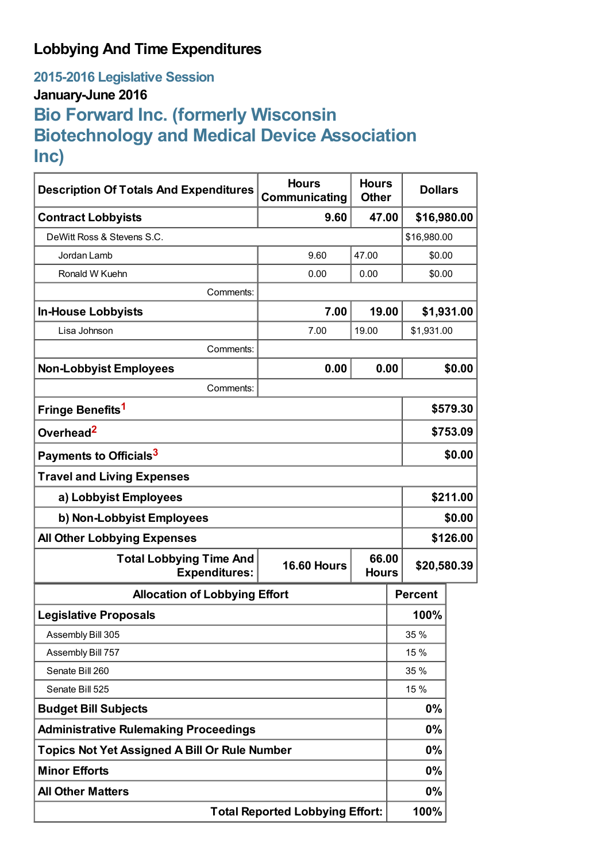## **Lobbying And Time Expenditures**

**2015-2016 Legislative Session**

## **January-June 2016**

# **Bio Forward Inc. (formerly Wisconsin Biotechnology and Medical Device Association Inc)**

| <b>Description Of Totals And Expenditures</b>                                                         | <b>Hours</b><br>Communicating | <b>Hours</b><br><b>Other</b> | <b>Dollars</b> |             |  |
|-------------------------------------------------------------------------------------------------------|-------------------------------|------------------------------|----------------|-------------|--|
| <b>Contract Lobbyists</b>                                                                             | 9.60                          | 47.00                        | \$16,980.00    |             |  |
| DeWitt Ross & Stevens S.C.                                                                            |                               | \$16,980.00                  |                |             |  |
| Jordan Lamb                                                                                           | 9.60                          | 47.00                        |                | \$0.00      |  |
| Ronald W Kuehn                                                                                        | 0.00                          | 0.00                         | \$0.00         |             |  |
| Comments:                                                                                             |                               |                              |                |             |  |
| <b>In-House Lobbyists</b>                                                                             | 7.00                          | 19.00                        |                | \$1,931.00  |  |
| Lisa Johnson                                                                                          | 7.00                          | 19.00                        | \$1,931.00     |             |  |
| Comments:                                                                                             |                               |                              |                |             |  |
| <b>Non-Lobbyist Employees</b>                                                                         | 0.00                          | 0.00                         |                | \$0.00      |  |
| Comments:                                                                                             |                               |                              |                |             |  |
| Fringe Benefits <sup>1</sup>                                                                          |                               |                              |                | \$579.30    |  |
| Overhead <sup>2</sup>                                                                                 |                               |                              |                | \$753.09    |  |
| Payments to Officials <sup>3</sup>                                                                    |                               |                              |                | \$0.00      |  |
| <b>Travel and Living Expenses</b>                                                                     |                               |                              |                |             |  |
| a) Lobbyist Employees                                                                                 |                               |                              |                | \$211.00    |  |
| b) Non-Lobbyist Employees                                                                             |                               |                              |                | \$0.00      |  |
| <b>All Other Lobbying Expenses</b>                                                                    |                               |                              |                | \$126.00    |  |
| 66.00<br><b>Total Lobbying Time And</b><br><b>16.60 Hours</b><br><b>Expenditures:</b><br><b>Hours</b> |                               |                              |                | \$20,580.39 |  |
| <b>Allocation of Lobbying Effort</b>                                                                  |                               |                              | <b>Percent</b> |             |  |
| <b>Legislative Proposals</b>                                                                          |                               |                              | 100%           |             |  |
| Assembly Bill 305                                                                                     |                               |                              | 35 %           |             |  |
| Assembly Bill 757                                                                                     |                               |                              | 15 %           |             |  |
| Senate Bill 260                                                                                       |                               |                              | 35 %           |             |  |
| Senate Bill 525                                                                                       |                               |                              | 15 %           |             |  |
| <b>Budget Bill Subjects</b>                                                                           |                               |                              | 0%             |             |  |
| <b>Administrative Rulemaking Proceedings</b>                                                          |                               |                              | 0%             |             |  |
| <b>Topics Not Yet Assigned A Bill Or Rule Number</b>                                                  |                               |                              | 0%             |             |  |
| <b>Minor Efforts</b>                                                                                  |                               |                              | 0%             |             |  |
| <b>All Other Matters</b>                                                                              |                               |                              | 0%             |             |  |
| <b>Total Reported Lobbying Effort:</b>                                                                |                               |                              | 100%           |             |  |